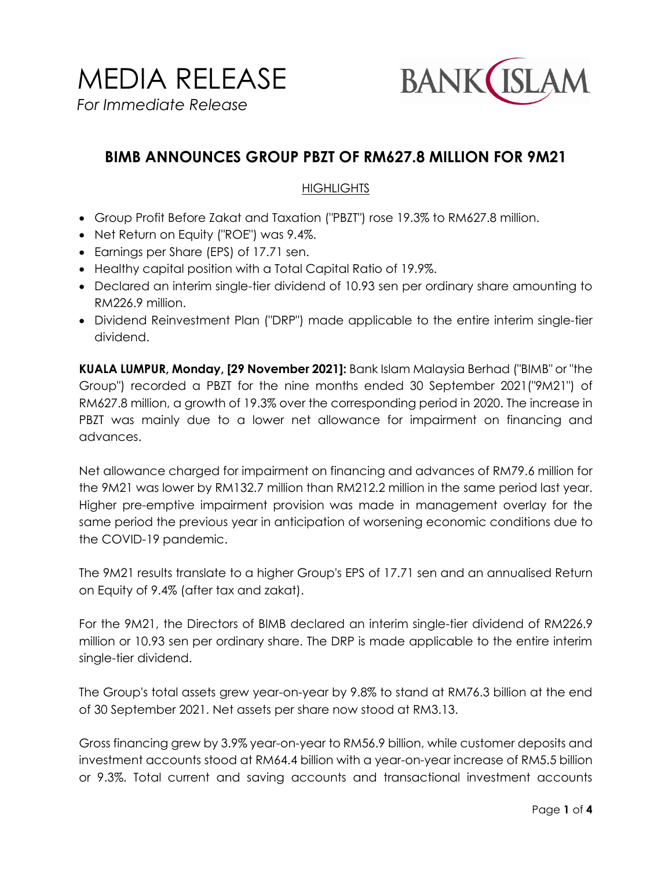MEDIA RELEASE *For Immediate Release*



# **BIMB ANNOUNCES GROUP PBZT OF RM627.8 MILLION FOR 9M21**

#### **HIGHLIGHTS**

- Group Profit Before Zakat and Taxation ("PBZT") rose 19.3% to RM627.8 million.
- Net Return on Equity ("ROE") was 9.4%.
- Earnings per Share (EPS) of 17.71 sen.
- Healthy capital position with a Total Capital Ratio of 19.9%.
- Declared an interim single-tier dividend of 10.93 sen per ordinary share amounting to RM226.9 million.
- Dividend Reinvestment Plan ("DRP") made applicable to the entire interim single-tier dividend.

**KUALA LUMPUR, Monday, [29 November 2021]:** Bank Islam Malaysia Berhad ("BIMB" or "the Group") recorded a PBZT for the nine months ended 30 September 2021("9M21") of RM627.8 million, a growth of 19.3% over the corresponding period in 2020. The increase in PBZT was mainly due to a lower net allowance for impairment on financing and advances.

Net allowance charged for impairment on financing and advances of RM79.6 million for the 9M21 was lower by RM132.7 million than RM212.2 million in the same period last year. Higher pre-emptive impairment provision was made in management overlay for the same period the previous year in anticipation of worsening economic conditions due to the COVID-19 pandemic.

The 9M21 results translate to a higher Group's EPS of 17.71 sen and an annualised Return on Equity of 9.4% (after tax and zakat).

For the 9M21, the Directors of BIMB declared an interim single-tier dividend of RM226.9 million or 10.93 sen per ordinary share. The DRP is made applicable to the entire interim single-tier dividend.

The Group's total assets grew year-on-year by 9.8% to stand at RM76.3 billion at the end of 30 September 2021. Net assets per share now stood at RM3.13.

Gross financing grew by 3.9% year-on-year to RM56.9 billion, while customer deposits and investment accounts stood at RM64.4 billion with a year-on-year increase of RM5.5 billion or 9.3%. Total current and saving accounts and transactional investment accounts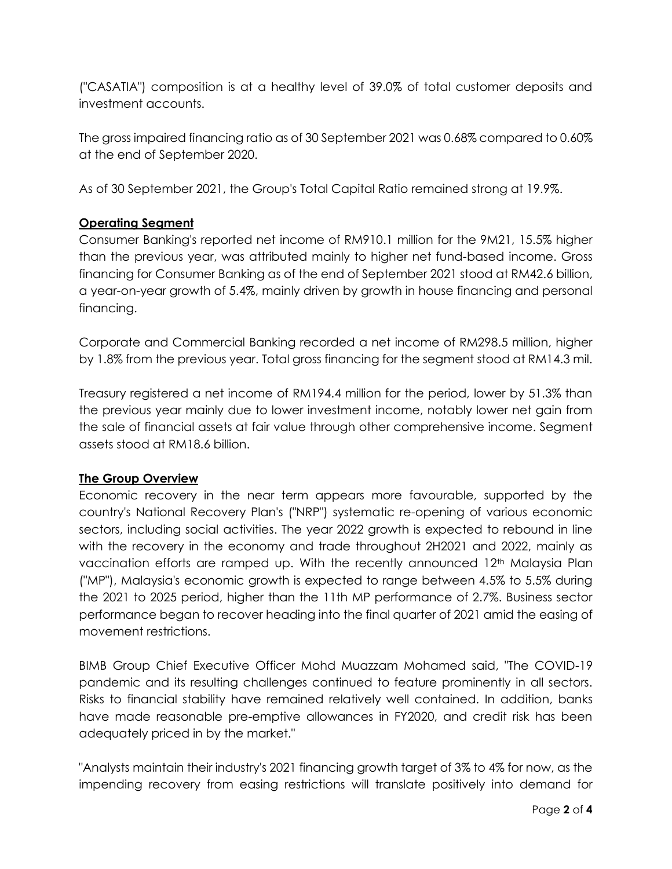("CASATIA") composition is at a healthy level of 39.0% of total customer deposits and investment accounts.

The gross impaired financing ratio as of 30 September 2021 was 0.68% compared to 0.60% at the end of September 2020.

As of 30 September 2021, the Group's Total Capital Ratio remained strong at 19.9%.

## **Operating Segment**

Consumer Banking's reported net income of RM910.1 million for the 9M21, 15.5% higher than the previous year, was attributed mainly to higher net fund-based income. Gross financing for Consumer Banking as of the end of September 2021 stood at RM42.6 billion, a year-on-year growth of 5.4%, mainly driven by growth in house financing and personal financing.

Corporate and Commercial Banking recorded a net income of RM298.5 million, higher by 1.8% from the previous year. Total gross financing for the segment stood at RM14.3 mil.

Treasury registered a net income of RM194.4 million for the period, lower by 51.3% than the previous year mainly due to lower investment income, notably lower net gain from the sale of financial assets at fair value through other comprehensive income. Segment assets stood at RM18.6 billion.

### **The Group Overview**

Economic recovery in the near term appears more favourable, supported by the country's National Recovery Plan's ("NRP") systematic re-opening of various economic sectors, including social activities. The year 2022 growth is expected to rebound in line with the recovery in the economy and trade throughout 2H2021 and 2022, mainly as vaccination efforts are ramped up. With the recently announced 12<sup>th</sup> Malaysia Plan ("MP"), Malaysia's economic growth is expected to range between 4.5% to 5.5% during the 2021 to 2025 period, higher than the 11th MP performance of 2.7%. Business sector performance began to recover heading into the final quarter of 2021 amid the easing of movement restrictions.

BIMB Group Chief Executive Officer Mohd Muazzam Mohamed said, "The COVID-19 pandemic and its resulting challenges continued to feature prominently in all sectors. Risks to financial stability have remained relatively well contained. In addition, banks have made reasonable pre-emptive allowances in FY2020, and credit risk has been adequately priced in by the market."

"Analysts maintain their industry's 2021 financing growth target of 3% to 4% for now, as the impending recovery from easing restrictions will translate positively into demand for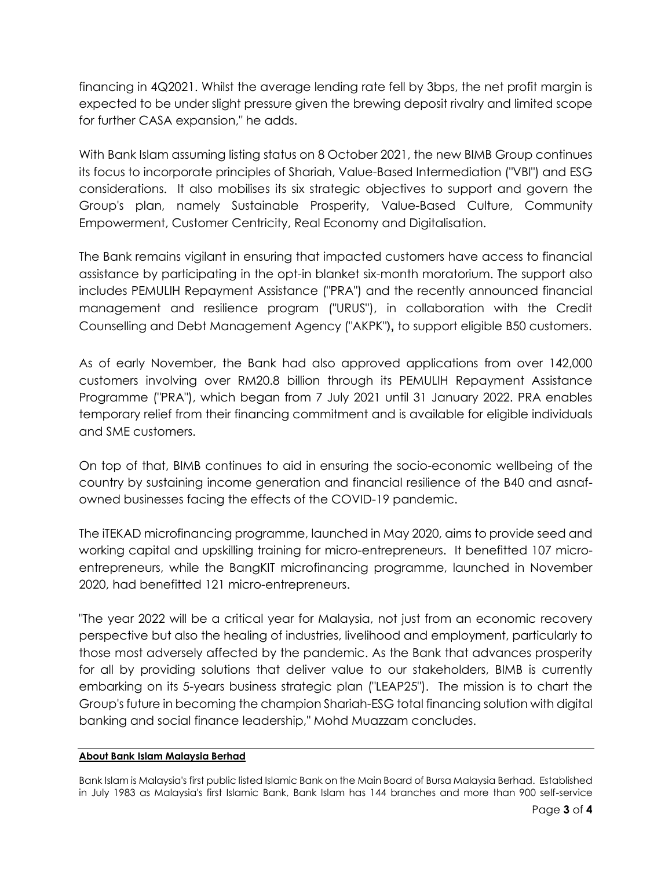financing in 4Q2021. Whilst the average lending rate fell by 3bps, the net profit margin is expected to be under slight pressure given the brewing deposit rivalry and limited scope for further CASA expansion," he adds.

With Bank Islam assuming listing status on 8 October 2021, the new BIMB Group continues its focus to incorporate principles of Shariah, Value-Based Intermediation ("VBI") and ESG considerations. It also mobilises its six strategic objectives to support and govern the Group's plan, namely Sustainable Prosperity, Value-Based Culture, Community Empowerment, Customer Centricity, Real Economy and Digitalisation.

The Bank remains vigilant in ensuring that impacted customers have access to financial assistance by participating in the opt-in blanket six-month moratorium. The support also includes PEMULIH Repayment Assistance ("PRA") and the recently announced financial management and resilience program ("URUS"), in collaboration with the Credit Counselling and Debt Management Agency ("AKPK"), to support eligible B50 customers.

As of early November, the Bank had also approved applications from over 142,000 customers involving over RM20.8 billion through its PEMULIH Repayment Assistance Programme ("PRA"), which began from 7 July 2021 until 31 January 2022. PRA enables temporary relief from their financing commitment and is available for eligible individuals and SME customers.

On top of that, BIMB continues to aid in ensuring the socio-economic wellbeing of the country by sustaining income generation and financial resilience of the B40 and asnafowned businesses facing the effects of the COVID-19 pandemic.

The iTEKAD microfinancing programme, launched in May 2020, aims to provide seed and working capital and upskilling training for micro-entrepreneurs. It benefitted 107 microentrepreneurs, while the BangKIT microfinancing programme, launched in November 2020, had benefitted 121 micro-entrepreneurs.

"The year 2022 will be a critical year for Malaysia, not just from an economic recovery perspective but also the healing of industries, livelihood and employment, particularly to those most adversely affected by the pandemic. As the Bank that advances prosperity for all by providing solutions that deliver value to our stakeholders, BIMB is currently embarking on its 5-years business strategic plan ("LEAP25"). The mission is to chart the Group's future in becoming the champion Shariah-ESG total financing solution with digital banking and social finance leadership," Mohd Muazzam concludes.

#### **About Bank Islam Malaysia Berhad**

Bank Islam is Malaysia's first public listed Islamic Bank on the Main Board of Bursa Malaysia Berhad. Established in July 1983 as Malaysia's first Islamic Bank, Bank Islam has 144 branches and more than 900 self-service